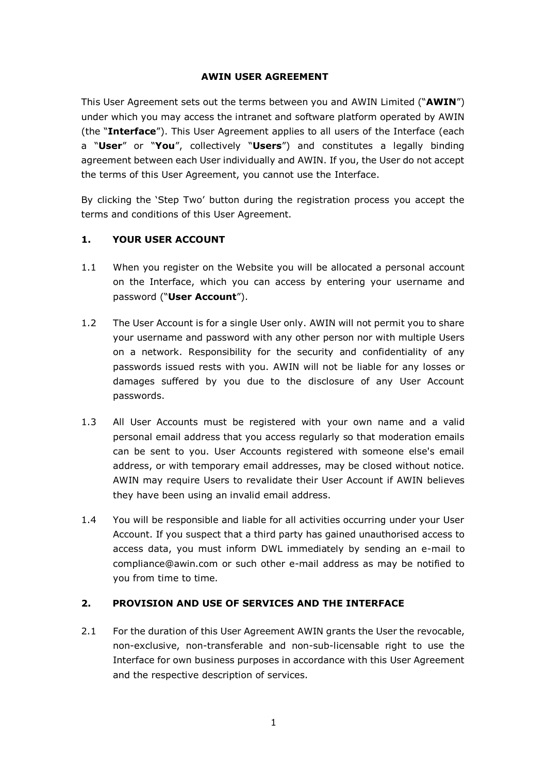# **AWIN USER AGREEMENT**

This User Agreement sets out the terms between you and AWIN Limited ("**AWIN**") under which you may access the intranet and software platform operated by AWIN (the "**Interface**"). This User Agreement applies to all users of the Interface (each a "**User**" or "**You**", collectively "**Users**") and constitutes a legally binding agreement between each User individually and AWIN. If you, the User do not accept the terms of this User Agreement, you cannot use the Interface.

By clicking the 'Step Two' button during the registration process you accept the terms and conditions of this User Agreement.

# **1. YOUR USER ACCOUNT**

- 1.1 When you register on the Website you will be allocated a personal account on the Interface, which you can access by entering your username and password ("**User Account**").
- 1.2 The User Account is for a single User only. AWIN will not permit you to share your username and password with any other person nor with multiple Users on a network. Responsibility for the security and confidentiality of any passwords issued rests with you. AWIN will not be liable for any losses or damages suffered by you due to the disclosure of any User Account passwords.
- 1.3 All User Accounts must be registered with your own name and a valid personal email address that you access regularly so that moderation emails can be sent to you. User Accounts registered with someone else's email address, or with temporary email addresses, may be closed without notice. AWIN may require Users to revalidate their User Account if AWIN believes they have been using an invalid email address.
- 1.4 You will be responsible and liable for all activities occurring under your User Account. If you suspect that a third party has gained unauthorised access to access data, you must inform DWL immediately by sending an e-mail to compliance@awin.com or such other e-mail address as may be notified to you from time to time.

### **2. PROVISION AND USE OF SERVICES AND THE INTERFACE**

2.1 For the duration of this User Agreement AWIN grants the User the revocable, non-exclusive, non-transferable and non-sub-licensable right to use the Interface for own business purposes in accordance with this User Agreement and the respective description of services.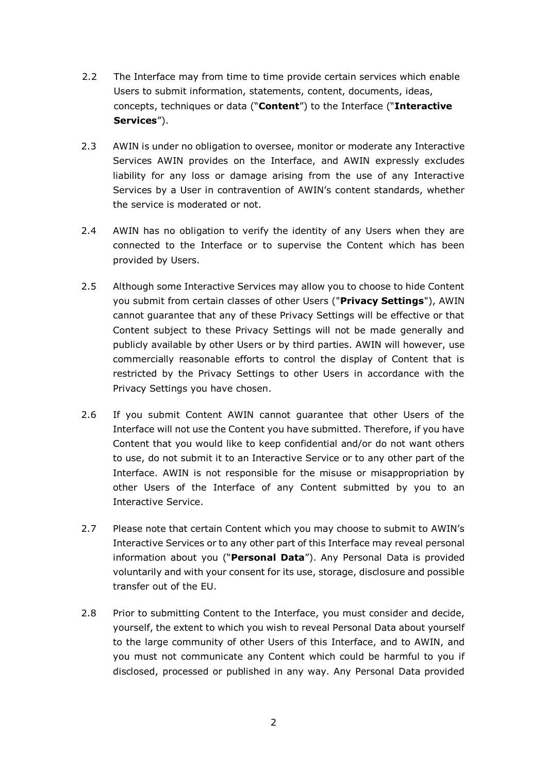- 2.2 The Interface may from time to time provide certain services which enable Users to submit information, statements, content, documents, ideas, concepts, techniques or data ("**Content**") to the Interface ("**Interactive Services**").
- 2.3 AWIN is under no obligation to oversee, monitor or moderate any Interactive Services AWIN provides on the Interface, and AWIN expressly excludes liability for any loss or damage arising from the use of any Interactive Services by a User in contravention of AWIN's content standards, whether the service is moderated or not.
- 2.4 AWIN has no obligation to verify the identity of any Users when they are connected to the Interface or to supervise the Content which has been provided by Users.
- 2.5 Although some Interactive Services may allow you to choose to hide Content you submit from certain classes of other Users ("**Privacy Settings**"), AWIN cannot guarantee that any of these Privacy Settings will be effective or that Content subject to these Privacy Settings will not be made generally and publicly available by other Users or by third parties. AWIN will however, use commercially reasonable efforts to control the display of Content that is restricted by the Privacy Settings to other Users in accordance with the Privacy Settings you have chosen.
- 2.6 If you submit Content AWIN cannot guarantee that other Users of the Interface will not use the Content you have submitted. Therefore, if you have Content that you would like to keep confidential and/or do not want others to use, do not submit it to an Interactive Service or to any other part of the Interface. AWIN is not responsible for the misuse or misappropriation by other Users of the Interface of any Content submitted by you to an Interactive Service.
- 2.7 Please note that certain Content which you may choose to submit to AWIN's Interactive Services or to any other part of this Interface may reveal personal information about you ("**Personal Data**"). Any Personal Data is provided voluntarily and with your consent for its use, storage, disclosure and possible transfer out of the EU.
- 2.8 Prior to submitting Content to the Interface, you must consider and decide, yourself, the extent to which you wish to reveal Personal Data about yourself to the large community of other Users of this Interface, and to AWIN, and you must not communicate any Content which could be harmful to you if disclosed, processed or published in any way. Any Personal Data provided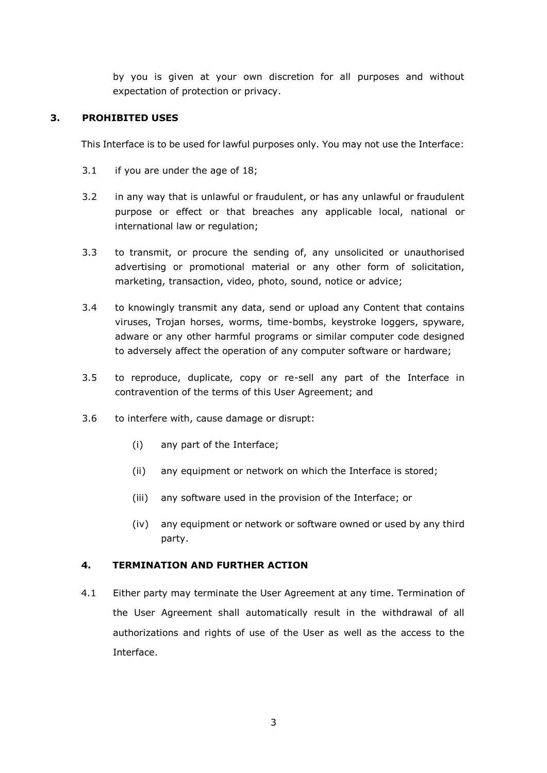by you is given at your own discretion for all purposes and without expectation of protection or privacy.

## **3. PROHIBITED USES**

This Interface is to be used for lawful purposes only. You may not use the Interface:

- 3.1 if you are under the age of 18;
- 3.2 in any way that is unlawful or fraudulent, or has any unlawful or fraudulent purpose or effect or that breaches any applicable local, national or international law or regulation;
- 3.3 to transmit, or procure the sending of, any unsolicited or unauthorised advertising or promotional material or any other form of solicitation, marketing, transaction, video, photo, sound, notice or advice;
- 3.4 to knowingly transmit any data, send or upload any Content that contains viruses, Trojan horses, worms, time-bombs, keystroke loggers, spyware, adware or any other harmful programs or similar computer code designed to adversely affect the operation of any computer software or hardware;
- 3.5 to reproduce, duplicate, copy or re-sell any part of the Interface in contravention of the terms of this User Agreement; and
- 3.6 to interfere with, cause damage or disrupt:
	- (i) any part of the Interface;
	- (ii) any equipment or network on which the Interface is stored;
	- (iii) any software used in the provision of the Interface; or
	- (iv) any equipment or network or software owned or used by any third party.

# **4. TERMINATION AND FURTHER ACTION**

4.1 Either party may terminate the User Agreement at any time. Termination of the User Agreement shall automatically result in the withdrawal of all authorizations and rights of use of the User as well as the access to the Interface.